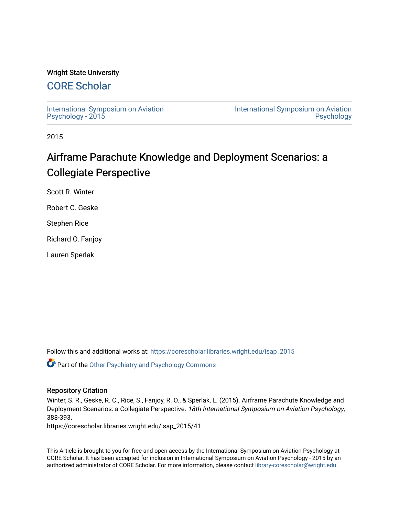## Wright State University

## [CORE Scholar](https://corescholar.libraries.wright.edu/)

[International Symposium on Aviation](https://corescholar.libraries.wright.edu/isap_2015) [Psychology - 2015](https://corescholar.libraries.wright.edu/isap_2015)

[International Symposium on Aviation](https://corescholar.libraries.wright.edu/isap)  [Psychology](https://corescholar.libraries.wright.edu/isap) 

2015

# Airframe Parachute Knowledge and Deployment Scenarios: a Collegiate Perspective

Scott R. Winter

Robert C. Geske

Stephen Rice

Richard O. Fanjoy

Lauren Sperlak

Follow this and additional works at: [https://corescholar.libraries.wright.edu/isap\\_2015](https://corescholar.libraries.wright.edu/isap_2015?utm_source=corescholar.libraries.wright.edu%2Fisap_2015%2F41&utm_medium=PDF&utm_campaign=PDFCoverPages)

Part of the [Other Psychiatry and Psychology Commons](http://network.bepress.com/hgg/discipline/992?utm_source=corescholar.libraries.wright.edu%2Fisap_2015%2F41&utm_medium=PDF&utm_campaign=PDFCoverPages)

### Repository Citation

Winter, S. R., Geske, R. C., Rice, S., Fanjoy, R. O., & Sperlak, L. (2015). Airframe Parachute Knowledge and Deployment Scenarios: a Collegiate Perspective. 18th International Symposium on Aviation Psychology, 388-393.

https://corescholar.libraries.wright.edu/isap\_2015/41

This Article is brought to you for free and open access by the International Symposium on Aviation Psychology at CORE Scholar. It has been accepted for inclusion in International Symposium on Aviation Psychology - 2015 by an authorized administrator of CORE Scholar. For more information, please contact [library-corescholar@wright.edu](mailto:library-corescholar@wright.edu).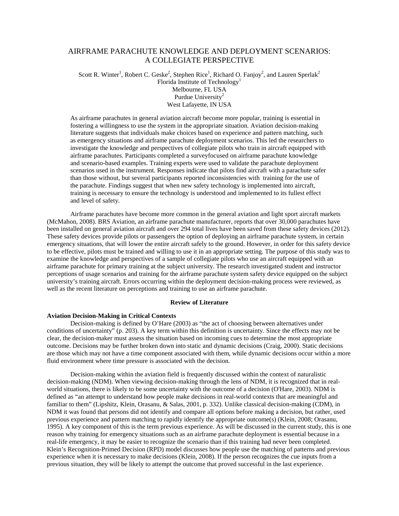## AIRFRAME PARACHUTE KNOWLEDGE AND DEPLOYMENT SCENARIOS: A COLLEGIATE PERSPECTIVE

Scott R. Winter<sup>1</sup>, Robert C. Geske<sup>2</sup>, Stephen Rice<sup>1</sup>, Richard O. Fanjoy<sup>2</sup>, and Lauren Sperlak<sup>2</sup> Florida Institute of Technology<sup>1</sup> Melbourne, FL USA Purdue University<sup>2</sup>

West Lafayette, IN USA

As airframe parachutes in general aviation aircraft become more popular, training is essential in fostering a willingness to use the system in the appropriate situation. Aviation decision-making literature suggests that individuals make choices based on experience and pattern matching, such as emergency situations and airframe parachute deployment scenarios. This led the researchers to investigate the knowledge and perspectives of collegiate pilots who train in aircraft equipped with airframe parachutes. Participants completed a surveyfocused on airframe parachute knowledge and scenario-based examples. Training experts were used to validate the parachute deployment scenarios used in the instrument. Responses indicate that pilots find aircraft with a parachute safer than those without, but several participants reported inconsistencies with training for the use of the parachute. Findings suggest that when new safety technology is implemented into aircraft, training is necessary to ensure the technology is understood and implemented to its fullest effect and level of safety.

Airframe parachutes have become more common in the general aviation and light sport aircraft markets (McMahon, 2008). BRS Aviation, an airframe parachute manufacturer, reports that over 30,000 parachutes have been installed on general aviation aircraft and over 294 total lives have been saved from these safety devices (2012). These safety devices provide pilots or passengers the option of deploying an airframe parachute system, in certain emergency situations, that will lower the entire aircraft safely to the ground. However, in order for this safety device to be effective, pilots must be trained and willing to use it in an appropriate setting. The purpose of this study was to examine the knowledge and perspectives of a sample of collegiate pilots who use an aircraft equipped with an airframe parachute for primary training at the subject university. The research investigated student and instructor perceptions of usage scenarios and training for the airframe parachute system safety device equipped on the subject university's training aircraft. Errors occurring within the deployment decision-making process were reviewed, as well as the recent literature on perceptions and training to use an airframe parachute.

#### **Review of Literature**

#### **Aviation Decision-Making in Critical Contexts**

Decision-making is defined by O'Hare (2003) as "the act of choosing between alternatives under conditions of uncertainty" (p. 203). A key term within this definition is uncertainty. Since the effects may not be clear, the decision-maker must assess the situation based on incoming cues to determine the most appropriate outcome. Decisions may be further broken down into static and dynamic decisions (Craig, 2000). Static decisions are those which may not have a time component associated with them, while dynamic decisions occur within a more fluid environment where time pressure is associated with the decision.

Decision-making within the aviation field is frequently discussed within the context of naturalistic decision-making (NDM). When viewing decision-making through the lens of NDM, it is recognized that in realworld situations, there is likely to be some uncertainty with the outcome of a decision (O'Hare, 2003). NDM is defined as "an attempt to understand how people make decisions in real-world contexts that are meaningful and familiar to them" (Lipshitz, Klein, Orasanu, & Salas, 2001, p. 332). Unlike classical decision-making (CDM), in NDM it was found that persons did not identify and compare all options before making a decision, but rather, used previous experience and pattern matching to rapidly identify the appropriate outcome(s) (Klein, 2008; Orasanu, 1995). A key component of this is the term previous experience. As will be discussed in the current study, this is one reason why training for emergency situations such as an airframe parachute deployment is essential because in a real-life emergency, it may be easier to recognize the scenario than if this training had never been completed. Klein's Recognition-Primed Decision (RPD) model discusses how people use the matching of patterns and previous experience when it is necessary to make decisions (Klein, 2008). If the person recognizes the cue inputs from a previous situation, they will be likely to attempt the outcome that proved successful in the last experience.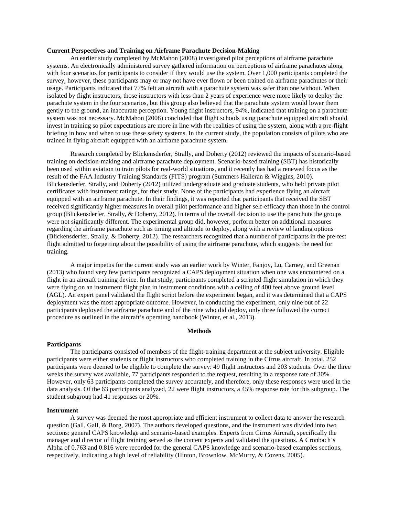#### **Current Perspectives and Training on Airframe Parachute Decision-Making**

An earlier study completed by McMahon (2008) investigated pilot perceptions of airframe parachute systems. An electronically administered survey gathered information on perceptions of airframe parachutes along with four scenarios for participants to consider if they would use the system. Over 1,000 participants completed the survey, however, these participants may or may not have ever flown or been trained on airframe parachutes or their usage. Participants indicated that 77% felt an aircraft with a parachute system was safer than one without. When isolated by flight instructors, those instructors with less than 2 years of experience were more likely to deploy the parachute system in the four scenarios, but this group also believed that the parachute system would lower them gently to the ground, an inaccurate perception. Young flight instructors, 94%, indicated that training on a parachute system was not necessary. McMahon (2008) concluded that flight schools using parachute equipped aircraft should invest in training so pilot expectations are more in line with the realities of using the system, along with a pre-flight briefing in how and when to use these safety systems. In the current study, the population consists of pilots who are trained in flying aircraft equipped with an airframe parachute system.

Research completed by Blickensderfer, Strally, and Doherty (2012) reviewed the impacts of scenario-based training on decision-making and airframe parachute deployment. Scenario-based training (SBT) has historically been used within aviation to train pilots for real-world situations, and it recently has had a renewed focus as the result of the FAA Industry Training Standards (FITS) program (Summers Halleran & Wiggins, 2010). Blickensderfer, Strally, and Doherty (2012) utilized undergraduate and graduate students, who held private pilot certificates with instrument ratings, for their study. None of the participants had experience flying an aircraft equipped with an airframe parachute. In their findings, it was reported that participants that received the SBT received significantly higher measures in overall pilot performance and higher self-efficacy than those in the control group (Blickensderfer, Strally, & Doherty, 2012). In terms of the overall decision to use the parachute the groups were not significantly different. The experimental group did, however, perform better on additional measures regarding the airframe parachute such as timing and altitude to deploy, along with a review of landing options (Blickensderfer, Strally, & Doherty, 2012). The researchers recognized that a number of participants in the pre-test flight admitted to forgetting about the possibility of using the airframe parachute, which suggests the need for training.

A major impetus for the current study was an earlier work by Winter, Fanjoy, Lu, Carney, and Greenan (2013) who found very few participants recognized a CAPS deployment situation when one was encountered on a flight in an aircraft training device. In that study, participants completed a scripted flight simulation in which they were flying on an instrument flight plan in instrument conditions with a ceiling of 400 feet above ground level (AGL). An expert panel validated the flight script before the experiment began, and it was determined that a CAPS deployment was the most appropriate outcome. However, in conducting the experiment, only nine out of 22 participants deployed the airframe parachute and of the nine who did deploy, only three followed the correct procedure as outlined in the aircraft's operating handbook (Winter, et al., 2013).

#### **Methods**

#### **Participants**

The participants consisted of members of the flight-training department at the subject university. Eligible participants were either students or flight instructors who completed training in the Cirrus aircraft. In total, 252 participants were deemed to be eligible to complete the survey: 49 flight instructors and 203 students. Over the three weeks the survey was available, 77 participants responded to the request, resulting in a response rate of 30%. However, only 63 participants completed the survey accurately, and therefore, only these responses were used in the data analysis. Of the 63 participants analyzed, 22 were flight instructors, a 45% response rate for this subgroup. The student subgroup had 41 responses or 20%.

#### **Instrument**

A survey was deemed the most appropriate and efficient instrument to collect data to answer the research question (Gall, Gall, & Borg, 2007). The authors developed questions, and the instrument was divided into two sections: general CAPS knowledge and scenario-based examples. Experts from Cirrus Aircraft, specifically the manager and director of flight training served as the content experts and validated the questions. A Cronbach's Alpha of 0.763 and 0.816 were recorded for the general CAPS knowledge and scenario-based examples sections, respectively, indicating a high level of reliability (Hinton, Brownlow, McMurry, & Cozens, 2005).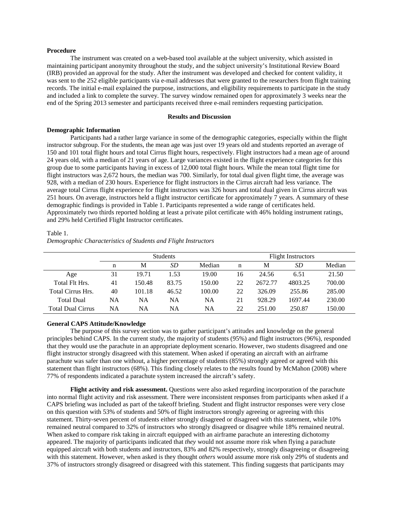#### **Procedure**

The instrument was created on a web-based tool available at the subject university, which assisted in maintaining participant anonymity throughout the study, and the subject university's Institutional Review Board (IRB) provided an approval for the study. After the instrument was developed and checked for content validity, it was sent to the 252 eligible participants via e-mail addresses that were granted to the researchers from flight training records. The initial e-mail explained the purpose, instructions, and eligibility requirements to participate in the study and included a link to complete the survey. The survey window remained open for approximately 3 weeks near the end of the Spring 2013 semester and participants received three e-mail reminders requesting participation.

#### **Results and Discussion**

#### **Demographic Information**

Participants had a rather large variance in some of the demographic categories, especially within the flight instructor subgroup. For the students, the mean age was just over 19 years old and students reported an average of 150 and 101 total flight hours and total Cirrus flight hours, respectively. Flight instructors had a mean age of around 24 years old, with a median of 21 years of age. Large variances existed in the flight experience categories for this group due to some participants having in excess of 12,000 total flight hours. While the mean total flight time for flight instructors was 2,672 hours, the median was 700. Similarly, for total dual given flight time, the average was 928, with a median of 230 hours. Experience for flight instructors in the Cirrus aircraft had less variance. The average total Cirrus flight experience for flight instructors was 326 hours and total dual given in Cirrus aircraft was 251 hours. On average, instructors held a flight instructor certificate for approximately 7 years. A summary of these demographic findings is provided in Table 1. Participants represented a wide range of certificates held. Approximately two thirds reported holding at least a private pilot certificate with 46% holding instrument ratings, and 29% held Certified Flight Instructor certificates.

#### Table 1.

*Demographic Characteristics of Students and Flight Instructors*

|                          | <b>Students</b> |        |       |        | <b>Flight Instructors</b> |         |         |        |
|--------------------------|-----------------|--------|-------|--------|---------------------------|---------|---------|--------|
|                          | n               | M      | SD    | Median | n                         | М       | SD      | Median |
| Age                      | 31              | 19.71  | 1.53  | 19.00  | 16                        | 24.56   | 6.51    | 21.50  |
| Total Flt Hrs.           | 41              | 150.48 | 83.75 | 150.00 | 22                        | 2672.77 | 4803.25 | 700.00 |
| <b>Total Cirrus Hrs.</b> | 40              | 101.18 | 46.52 | 100.00 | 22                        | 326.09  | 255.86  | 285.00 |
| <b>Total Dual</b>        | NA              | NA     | NA    | NA     | 21                        | 928.29  | 1697.44 | 230.00 |
| <b>Total Dual Cirrus</b> | NA              | NA     | NA    | NA     | 22                        | 251.00  | 250.87  | 150.00 |

#### **General CAPS Attitude/Knowledge**

The purpose of this survey section was to gather participant's attitudes and knowledge on the general principles behind CAPS. In the current study, the majority of students (95%) and flight instructors (96%), responded that they would use the parachute in an appropriate deployment scenario. However, two students disagreed and one flight instructor strongly disagreed with this statement. When asked if operating an aircraft with an airframe parachute was safer than one without, a higher percentage of students (85%) strongly agreed or agreed with this statement than flight instructors (68%). This finding closely relates to the results found by McMahon (2008) where 77% of respondents indicated a parachute system increased the aircraft's safety.

**Flight activity and risk assessment.** Questions were also asked regarding incorporation of the parachute into normal flight activity and risk assessment. There were inconsistent responses from participants when asked if a CAPS briefing was included as part of the takeoff briefing. Student and flight instructor responses were very close on this question with 53% of students and 50% of flight instructors strongly agreeing or agreeing with this statement. Thirty-seven percent of students either strongly disagreed or disagreed with this statement, while 10% remained neutral compared to 32% of instructors who strongly disagreed or disagree while 18% remained neutral. When asked to compare risk taking in aircraft equipped with an airframe parachute an interesting dichotomy appeared. The majority of participants indicated that *they* would not assume more risk when flying a parachute equipped aircraft with both students and instructors, 83% and 82% respectively, strongly disagreeing or disagreeing with this statement. However, when asked is they thought *others* would assume more risk only 29% of students and 37% of instructors strongly disagreed or disagreed with this statement. This finding suggests that participants may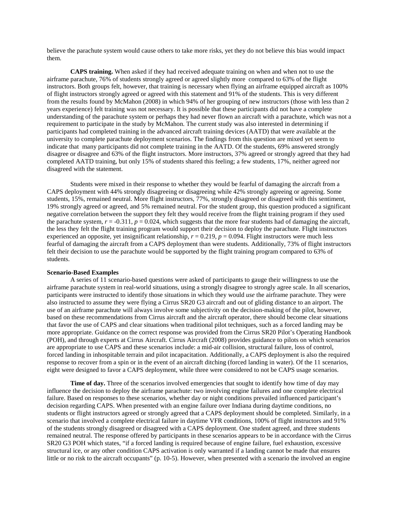believe the parachute system would cause others to take more risks, yet they do not believe this bias would impact them.

**CAPS training.** When asked if they had received adequate training on when and when not to use the airframe parachute, 76% of students strongly agreed or agreed slightly more compared to 63% of the flight instructors. Both groups felt, however, that training is necessary when flying an airframe equipped aircraft as 100% of flight instructors strongly agreed or agreed with this statement and 91% of the students. This is very different from the results found by McMahon (2008) in which 94% of her grouping of new instructors (those with less than 2 years experience) felt training was not necessary. It is possible that these participants did not have a complete understanding of the parachute system or perhaps they had never flown an aircraft with a parachute, which was not a requirement to participate in the study by McMahon. The current study was also interested in determining if participants had completed training in the advanced aircraft training devices (AATD) that were available at the university to complete parachute deployment scenarios. The findings from this question are mixed yet seem to indicate that many participants did not complete training in the AATD. Of the students, 69% answered strongly disagree or disagree and 63% of the flight instructors. More instructors, 37% agreed or strongly agreed that they had completed AATD training, but only 15% of students shared this feeling; a few students, 17%, neither agreed nor disagreed with the statement.

Students were mixed in their response to whether they would be fearful of damaging the aircraft from a CAPS deployment with 44% strongly disagreeing or disagreeing while 42% strongly agreeing or agreeing. Some students, 15%, remained neutral. More flight instructors, 77%, strongly disagreed or disagreed with this sentiment, 19% strongly agreed or agreed, and 5% remained neutral. For the student group, this question produced a significant negative correlation between the support they felt they would receive from the flight training program if they used the parachute system,  $r = -0.311$ ,  $p = 0.024$ , which suggests that the more fear students had of damaging the aircraft, the less they felt the flight training program would support their decision to deploy the parachute. Flight instructors experienced an opposite, yet insignificant relationship,  $r = 0.219$ ,  $p = 0.094$ . Flight instructors were much less fearful of damaging the aircraft from a CAPS deployment than were students. Additionally, 73% of flight instructors felt their decision to use the parachute would be supported by the flight training program compared to 63% of students.

#### **Scenario-Based Examples**

A series of 11 scenario-based questions were asked of participants to gauge their willingness to use the airframe parachute system in real-world situations, using a strongly disagree to strongly agree scale. In all scenarios, participants were instructed to identify those situations in which they would *use* the airframe parachute. They were also instructed to assume they were flying a Cirrus SR20 G3 aircraft and out of gliding distance to an airport. The use of an airframe parachute will always involve some subjectivity on the decision-making of the pilot, however, based on these recommendations from Cirrus aircraft and the aircraft operator, there should become clear situations that favor the use of CAPS and clear situations when traditional pilot techniques, such as a forced landing may be more appropriate. Guidance on the correct response was provided from the Cirrus SR20 Pilot's Operating Handbook (POH), and through experts at Cirrus Aircraft. Cirrus Aircraft (2008) provides guidance to pilots on which scenarios are appropriate to use CAPS and these scenarios include: a mid-air collision, structural failure, loss of control, forced landing in inhospitable terrain and pilot incapacitation. Additionally, a CAPS deployment is also the required response to recover from a spin or in the event of an aircraft ditching (forced landing in water). Of the 11 scenarios, eight were designed to favor a CAPS deployment, while three were considered to not be CAPS usage scenarios.

**Time of day.** Three of the scenarios involved emergencies that sought to identify how time of day may influence the decision to deploy the airframe parachute: two involving engine failures and one complete electrical failure. Based on responses to these scenarios, whether day or night conditions prevailed influenced participant's decision regarding CAPS. When presented with an engine failure over Indiana during daytime conditions, no students or flight instructors agreed or strongly agreed that a CAPS deployment should be completed. Similarly, in a scenario that involved a complete electrical failure in daytime VFR conditions, 100% of flight instructors and 91% of the students strongly disagreed or disagreed with a CAPS deployment. One student agreed, and three students remained neutral. The response offered by participants in these scenarios appears to be in accordance with the Cirrus SR20 G3 POH which states, "if a forced landing is required because of engine failure, fuel exhaustion, excessive structural ice, or any other condition CAPS activation is only warranted if a landing cannot be made that ensures little or no risk to the aircraft occupants" (p. 10-5). However, when presented with a scenario the involved an engine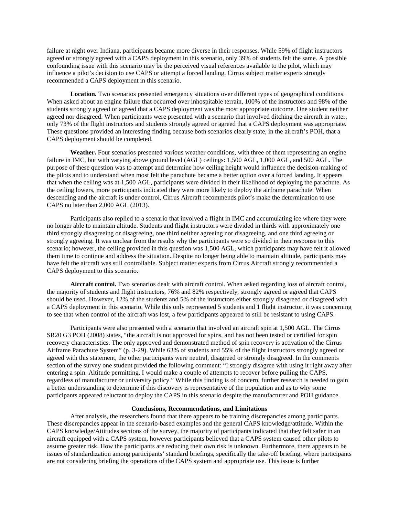failure at night over Indiana, participants became more diverse in their responses. While 59% of flight instructors agreed or strongly agreed with a CAPS deployment in this scenario, only 39% of students felt the same. A possible confounding issue with this scenario may be the perceived visual references available to the pilot, which may influence a pilot's decision to use CAPS or attempt a forced landing. Cirrus subject matter experts strongly recommended a CAPS deployment in this scenario.

**Location.** Two scenarios presented emergency situations over different types of geographical conditions. When asked about an engine failure that occurred over inhospitable terrain, 100% of the instructors and 98% of the students strongly agreed or agreed that a CAPS deployment was the most appropriate outcome. One student neither agreed nor disagreed. When participants were presented with a scenario that involved ditching the aircraft in water, only 73% of the flight instructors and students strongly agreed or agreed that a CAPS deployment was appropriate. These questions provided an interesting finding because both scenarios clearly state, in the aircraft's POH, that a CAPS deployment should be completed.

Weather. Four scenarios presented various weather conditions, with three of them representing an engine failure in IMC, but with varying above ground level (AGL) ceilings: 1,500 AGL, 1,000 AGL, and 500 AGL. The purpose of these question was to attempt and determine how ceiling height would influence the decision-making of the pilots and to understand when most felt the parachute became a better option over a forced landing. It appears that when the ceiling was at 1,500 AGL, participants were divided in their likelihood of deploying the parachute. As the ceiling lowers, more participants indicated they were more likely to deploy the airframe parachute. When descending and the aircraft is under control, Cirrus Aircraft recommends pilot's make the determination to use CAPS no later than 2,000 AGL (2013).

Participants also replied to a scenario that involved a flight in IMC and accumulating ice where they were no longer able to maintain altitude. Students and flight instructors were divided in thirds with approximately one third strongly disagreeing or disagreeing, one third neither agreeing nor disagreeing, and one third agreeing or strongly agreeing. It was unclear from the results why the participants were so divided in their response to this scenario; however, the ceiling provided in this question was 1,500 AGL, which participants may have felt it allowed them time to continue and address the situation. Despite no longer being able to maintain altitude, participants may have felt the aircraft was still controllable. Subject matter experts from Cirrus Aircraft strongly recommended a CAPS deployment to this scenario.

**Aircraft control.** Two scenarios dealt with aircraft control. When asked regarding loss of aircraft control, the majority of students and flight instructors, 76% and 82% respectively, strongly agreed or agreed that CAPS should be used. However, 12% of the students and 5% of the instructors either strongly disagreed or disagreed with a CAPS deployment in this scenario. While this only represented 5 students and 1 flight instructor, it was concerning to see that when control of the aircraft was lost, a few participants appeared to still be resistant to using CAPS.

Participants were also presented with a scenario that involved an aircraft spin at 1,500 AGL. The Cirrus SR20 G3 POH (2008) states, "the aircraft is not approved for spins, and has not been tested or certified for spin recovery characteristics. The only approved and demonstrated method of spin recovery is activation of the Cirrus Airframe Parachute System" (p. 3-29). While 63% of students and 55% of the flight instructors strongly agreed or agreed with this statement, the other participants were neutral, disagreed or strongly disagreed. In the comments section of the survey one student provided the following comment: "I strongly disagree with using it right away after entering a spin. Altitude permitting, I would make a couple of attempts to recover before pulling the CAPS, regardless of manufacturer or university policy." While this finding is of concern, further research is needed to gain a better understanding to determine if this discovery is representative of the population and as to why some participants appeared reluctant to deploy the CAPS in this scenario despite the manufacturer and POH guidance.

#### **Conclusions, Recommendations, and Limitations**

After analysis, the researchers found that there appears to be training discrepancies among participants. These discrepancies appear in the scenario-based examples and the general CAPS knowledge/attitude. Within the CAPS knowledge/Attitudes sections of the survey, the majority of participants indicated that they felt safer in an aircraft equipped with a CAPS system, however participants believed that a CAPS system caused other pilots to assume greater risk. How the participants are reducing their own risk is unknown. Furthermore, there appears to be issues of standardization among participants' standard briefings, specifically the take-off briefing, where participants are not considering briefing the operations of the CAPS system and appropriate use. This issue is further